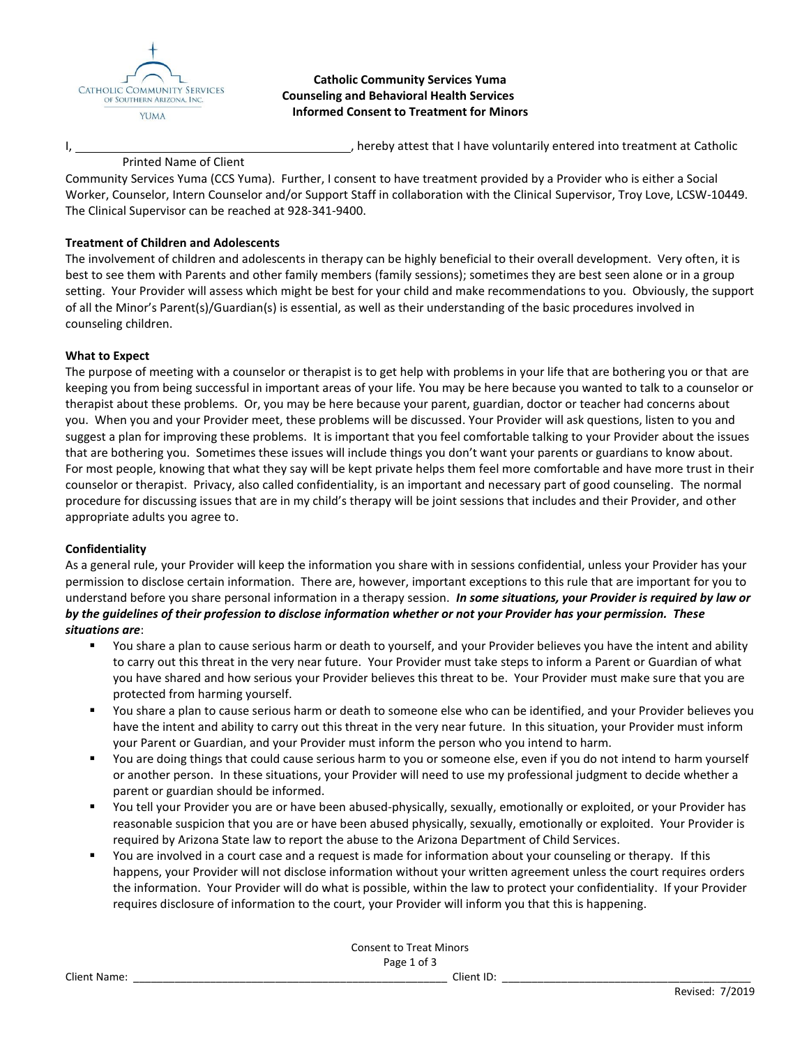

**Catholic Community Services Yuma Counseling and Behavioral Health Services Informed Consent to Treatment for Minors**

I,  $\frac{1}{2}$  hereby attest that I have voluntarily entered into treatment at Catholic

## Printed Name of Client

Community Services Yuma (CCS Yuma). Further, I consent to have treatment provided by a Provider who is either a Social Worker, Counselor, Intern Counselor and/or Support Staff in collaboration with the Clinical Supervisor, Troy Love, LCSW-10449. The Clinical Supervisor can be reached at 928-341-9400.

## **Treatment of Children and Adolescents**

The involvement of children and adolescents in therapy can be highly beneficial to their overall development. Very often, it is best to see them with Parents and other family members (family sessions); sometimes they are best seen alone or in a group setting. Your Provider will assess which might be best for your child and make recommendations to you. Obviously, the support of all the Minor's Parent(s)/Guardian(s) is essential, as well as their understanding of the basic procedures involved in counseling children.

## **What to Expect**

The purpose of meeting with a counselor or therapist is to get help with problems in your life that are bothering you or that are keeping you from being successful in important areas of your life. You may be here because you wanted to talk to a counselor or therapist about these problems. Or, you may be here because your parent, guardian, doctor or teacher had concerns about you. When you and your Provider meet, these problems will be discussed. Your Provider will ask questions, listen to you and suggest a plan for improving these problems. It is important that you feel comfortable talking to your Provider about the issues that are bothering you. Sometimes these issues will include things you don't want your parents or guardians to know about. For most people, knowing that what they say will be kept private helps them feel more comfortable and have more trust in their counselor or therapist. Privacy, also called confidentiality, is an important and necessary part of good counseling. The normal procedure for discussing issues that are in my child's therapy will be joint sessions that includes and their Provider, and other appropriate adults you agree to.

### **Confidentiality**

As a general rule, your Provider will keep the information you share with in sessions confidential, unless your Provider has your permission to disclose certain information. There are, however, important exceptions to this rule that are important for you to understand before you share personal information in a therapy session. *In some situations, your Provider is required by law or by the guidelines of their profession to disclose information whether or not your Provider has your permission. These situations are*:

- You share a plan to cause serious harm or death to yourself, and your Provider believes you have the intent and ability to carry out this threat in the very near future. Your Provider must take steps to inform a Parent or Guardian of what you have shared and how serious your Provider believes this threat to be. Your Provider must make sure that you are protected from harming yourself.
- You share a plan to cause serious harm or death to someone else who can be identified, and your Provider believes you have the intent and ability to carry out this threat in the very near future. In this situation, your Provider must inform your Parent or Guardian, and your Provider must inform the person who you intend to harm.
- You are doing things that could cause serious harm to you or someone else, even if you do not intend to harm yourself or another person. In these situations, your Provider will need to use my professional judgment to decide whether a parent or guardian should be informed.
- You tell your Provider you are or have been abused-physically, sexually, emotionally or exploited, or your Provider has reasonable suspicion that you are or have been abused physically, sexually, emotionally or exploited. Your Provider is required by Arizona State law to report the abuse to the Arizona Department of Child Services.
- You are involved in a court case and a request is made for information about your counseling or therapy. If this happens, your Provider will not disclose information without your written agreement unless the court requires orders the information. Your Provider will do what is possible, within the law to protect your confidentiality. If your Provider requires disclosure of information to the court, your Provider will inform you that this is happening.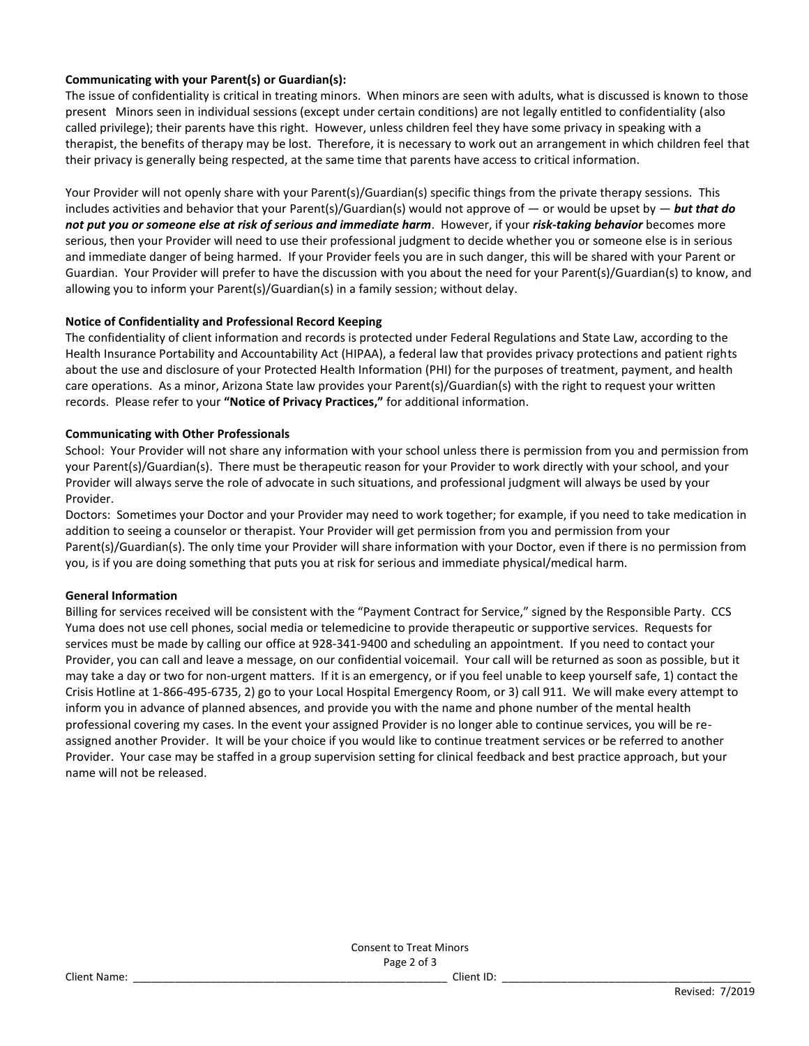# **Communicating with your Parent(s) or Guardian(s):**

The issue of confidentiality is critical in treating minors. When minors are seen with adults, what is discussed is known to those present Minors seen in individual sessions (except under certain conditions) are not legally entitled to confidentiality (also called privilege); their parents have this right. However, unless children feel they have some privacy in speaking with a therapist, the benefits of therapy may be lost. Therefore, it is necessary to work out an arrangement in which children feel that their privacy is generally being respected, at the same time that parents have access to critical information.

Your Provider will not openly share with your Parent(s)/Guardian(s) specific things from the private therapy sessions. This includes activities and behavior that your Parent(s)/Guardian(s) would not approve of — or would be upset by — *but that do not put you or someone else at risk of serious and immediate harm*. However, if your *risk-taking behavior* becomes more serious, then your Provider will need to use their professional judgment to decide whether you or someone else is in serious and immediate danger of being harmed. If your Provider feels you are in such danger, this will be shared with your Parent or Guardian. Your Provider will prefer to have the discussion with you about the need for your Parent(s)/Guardian(s) to know, and allowing you to inform your Parent(s)/Guardian(s) in a family session; without delay.

# **Notice of Confidentiality and Professional Record Keeping**

The confidentiality of client information and records is protected under Federal Regulations and State Law, according to the Health Insurance Portability and Accountability Act (HIPAA), a federal law that provides privacy protections and patient rights about the use and disclosure of your Protected Health Information (PHI) for the purposes of treatment, payment, and health care operations. As a minor, Arizona State law provides your Parent(s)/Guardian(s) with the right to request your written records. Please refer to your **"Notice of Privacy Practices,"** for additional information.

# **Communicating with Other Professionals**

School: Your Provider will not share any information with your school unless there is permission from you and permission from your Parent(s)/Guardian(s). There must be therapeutic reason for your Provider to work directly with your school, and your Provider will always serve the role of advocate in such situations, and professional judgment will always be used by your Provider.

Doctors: Sometimes your Doctor and your Provider may need to work together; for example, if you need to take medication in addition to seeing a counselor or therapist. Your Provider will get permission from you and permission from your Parent(s)/Guardian(s). The only time your Provider will share information with your Doctor, even if there is no permission from you, is if you are doing something that puts you at risk for serious and immediate physical/medical harm.

# **General Information**

Billing for services received will be consistent with the "Payment Contract for Service," signed by the Responsible Party. CCS Yuma does not use cell phones, social media or telemedicine to provide therapeutic or supportive services. Requests for services must be made by calling our office at 928-341-9400 and scheduling an appointment. If you need to contact your Provider, you can call and leave a message, on our confidential voicemail. Your call will be returned as soon as possible, but it may take a day or two for non-urgent matters. If it is an emergency, or if you feel unable to keep yourself safe, 1) contact the Crisis Hotline at 1-866-495-6735, 2) go to your Local Hospital Emergency Room, or 3) call 911. We will make every attempt to inform you in advance of planned absences, and provide you with the name and phone number of the mental health professional covering my cases. In the event your assigned Provider is no longer able to continue services, you will be reassigned another Provider. It will be your choice if you would like to continue treatment services or be referred to another Provider. Your case may be staffed in a group supervision setting for clinical feedback and best practice approach, but your name will not be released.